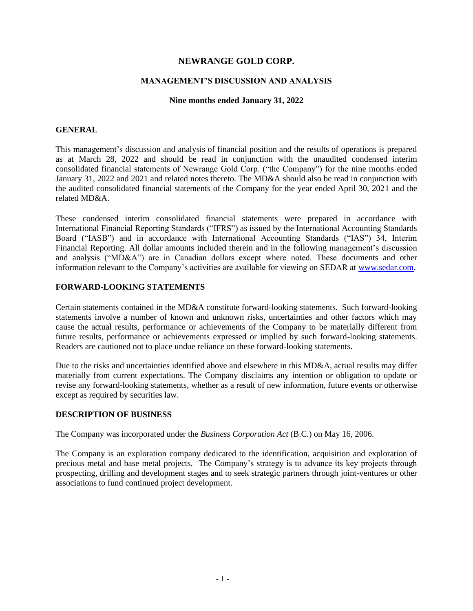# **NEWRANGE GOLD CORP.**

## **MANAGEMENT'S DISCUSSION AND ANALYSIS**

### **Nine months ended January 31, 2022**

### **GENERAL**

This management's discussion and analysis of financial position and the results of operations is prepared as at March 28, 2022 and should be read in conjunction with the unaudited condensed interim consolidated financial statements of Newrange Gold Corp. ("the Company") for the nine months ended January 31, 2022 and 2021 and related notes thereto. The MD&A should also be read in conjunction with the audited consolidated financial statements of the Company for the year ended April 30, 2021 and the related MD&A.

These condensed interim consolidated financial statements were prepared in accordance with International Financial Reporting Standards ("IFRS") as issued by the International Accounting Standards Board ("IASB") and in accordance with International Accounting Standards ("IAS") 34, Interim Financial Reporting. All dollar amounts included therein and in the following management's discussion and analysis ("MD&A") are in Canadian dollars except where noted. These documents and other information relevant to the Company's activities are available for viewing on SEDAR at [www.sedar.com.](http://www.sedar.com/)

### **FORWARD-LOOKING STATEMENTS**

Certain statements contained in the MD&A constitute forward-looking statements. Such forward-looking statements involve a number of known and unknown risks, uncertainties and other factors which may cause the actual results, performance or achievements of the Company to be materially different from future results, performance or achievements expressed or implied by such forward-looking statements. Readers are cautioned not to place undue reliance on these forward-looking statements.

Due to the risks and uncertainties identified above and elsewhere in this MD&A, actual results may differ materially from current expectations. The Company disclaims any intention or obligation to update or revise any forward-looking statements, whether as a result of new information, future events or otherwise except as required by securities law.

## **DESCRIPTION OF BUSINESS**

The Company was incorporated under the *Business Corporation Act* (B.C.) on May 16, 2006.

The Company is an exploration company dedicated to the identification, acquisition and exploration of precious metal and base metal projects. The Company's strategy is to advance its key projects through prospecting, drilling and development stages and to seek strategic partners through joint-ventures or other associations to fund continued project development.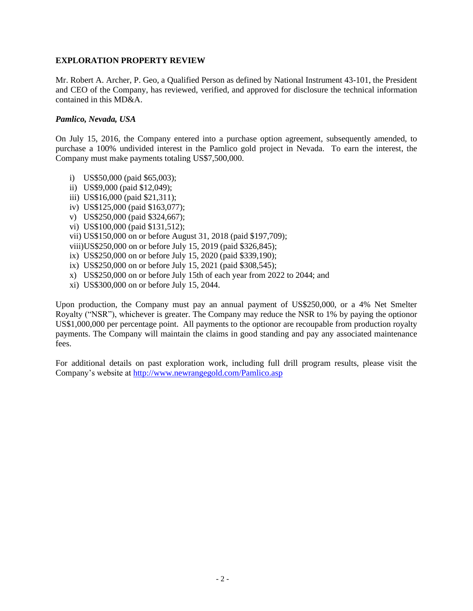### **EXPLORATION PROPERTY REVIEW**

Mr. Robert A. Archer, P. Geo, a Qualified Person as defined by National Instrument 43-101, the President and CEO of the Company, has reviewed, verified, and approved for disclosure the technical information contained in this MD&A.

### *Pamlico, Nevada, USA*

On July 15, 2016, the Company entered into a purchase option agreement, subsequently amended, to purchase a 100% undivided interest in the Pamlico gold project in Nevada. To earn the interest, the Company must make payments totaling US\$7,500,000.

- i) US\$50,000 (paid \$65,003);
- ii) US\$9,000 (paid \$12,049);
- iii) US\$16,000 (paid \$21,311);
- iv) US\$125,000 (paid \$163,077);
- v) US\$250,000 (paid \$324,667);
- vi) US\$100,000 (paid \$131,512);
- vii) US\$150,000 on or before August 31, 2018 (paid \$197,709);

viii)US\$250,000 on or before July 15, 2019 (paid \$326,845);

- ix) US\$250,000 on or before July 15, 2020 (paid \$339,190);
- ix) US\$250,000 on or before July 15, 2021 (paid \$308,545);
- x) US\$250,000 on or before July 15th of each year from 2022 to 2044; and
- xi) US\$300,000 on or before July 15, 2044.

Upon production, the Company must pay an annual payment of US\$250,000, or a 4% Net Smelter Royalty ("NSR"), whichever is greater. The Company may reduce the NSR to 1% by paying the optionor US\$1,000,000 per percentage point. All payments to the optionor are recoupable from production royalty payments. The Company will maintain the claims in good standing and pay any associated maintenance fees.

For additional details on past exploration work, including full drill program results, please visit the Company's website at<http://www.newrangegold.com/Pamlico.asp>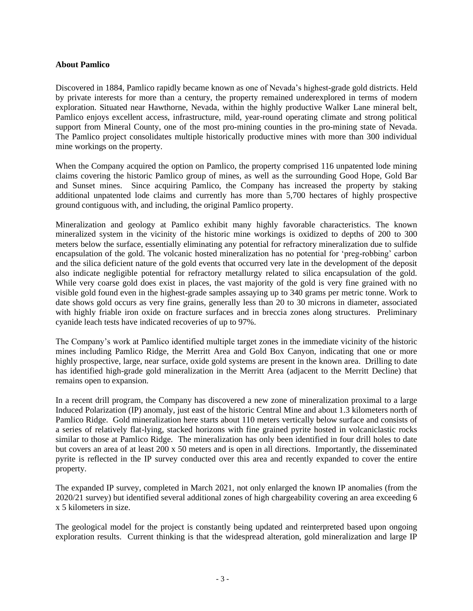## **About Pamlico**

Discovered in 1884, Pamlico rapidly became known as one of Nevada's highest-grade gold districts. Held by private interests for more than a century, the property remained underexplored in terms of modern exploration. Situated near Hawthorne, Nevada, within the highly productive Walker Lane mineral belt, Pamlico enjoys excellent access, infrastructure, mild, year-round operating climate and strong political support from Mineral County, one of the most pro-mining counties in the pro-mining state of Nevada. The Pamlico project consolidates multiple historically productive mines with more than 300 individual mine workings on the property.

When the Company acquired the option on Pamlico, the property comprised 116 unpatented lode mining claims covering the historic Pamlico group of mines, as well as the surrounding Good Hope, Gold Bar and Sunset mines. Since acquiring Pamlico, the Company has increased the property by staking additional unpatented lode claims and currently has more than 5,700 hectares of highly prospective ground contiguous with, and including, the original Pamlico property.

Mineralization and geology at Pamlico exhibit many highly favorable characteristics. The known mineralized system in the vicinity of the historic mine workings is oxidized to depths of 200 to 300 meters below the surface, essentially eliminating any potential for refractory mineralization due to sulfide encapsulation of the gold. The volcanic hosted mineralization has no potential for 'preg-robbing' carbon and the silica deficient nature of the gold events that occurred very late in the development of the deposit also indicate negligible potential for refractory metallurgy related to silica encapsulation of the gold. While very coarse gold does exist in places, the vast majority of the gold is very fine grained with no visible gold found even in the highest-grade samples assaying up to 340 grams per metric tonne. Work to date shows gold occurs as very fine grains, generally less than 20 to 30 microns in diameter, associated with highly friable iron oxide on fracture surfaces and in breccia zones along structures. Preliminary cyanide leach tests have indicated recoveries of up to 97%.

The Company's work at Pamlico identified multiple target zones in the immediate vicinity of the historic mines including Pamlico Ridge, the Merritt Area and Gold Box Canyon, indicating that one or more highly prospective, large, near surface, oxide gold systems are present in the known area. Drilling to date has identified high-grade gold mineralization in the Merritt Area (adjacent to the Merritt Decline) that remains open to expansion.

In a recent drill program, the Company has discovered a new zone of mineralization proximal to a large Induced Polarization (IP) anomaly, just east of the historic Central Mine and about 1.3 kilometers north of Pamlico Ridge. Gold mineralization here starts about 110 meters vertically below surface and consists of a series of relatively flat-lying, stacked horizons with fine grained pyrite hosted in volcaniclastic rocks similar to those at Pamlico Ridge. The mineralization has only been identified in four drill holes to date but covers an area of at least 200 x 50 meters and is open in all directions. Importantly, the disseminated pyrite is reflected in the IP survey conducted over this area and recently expanded to cover the entire property.

The expanded IP survey, completed in March 2021, not only enlarged the known IP anomalies (from the 2020/21 survey) but identified several additional zones of high chargeability covering an area exceeding 6 x 5 kilometers in size.

The geological model for the project is constantly being updated and reinterpreted based upon ongoing exploration results. Current thinking is that the widespread alteration, gold mineralization and large IP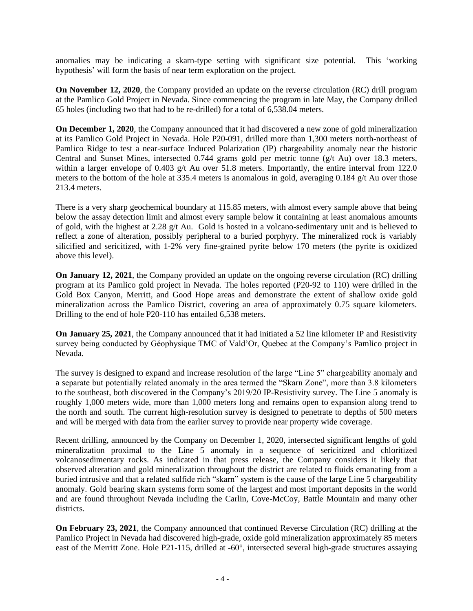anomalies may be indicating a skarn-type setting with significant size potential. This 'working hypothesis' will form the basis of near term exploration on the project.

**On November 12, 2020**, the Company provided an update on the reverse circulation (RC) drill program at the Pamlico Gold Project in Nevada. Since commencing the program in late May, the Company drilled 65 holes (including two that had to be re-drilled) for a total of 6,538.04 meters.

**On December 1, 2020**, the Company announced that it had discovered a new zone of gold mineralization at its Pamlico Gold Project in Nevada. Hole P20-091, drilled more than 1,300 meters north-northeast of Pamlico Ridge to test a near-surface Induced Polarization (IP) chargeability anomaly near the historic Central and Sunset Mines, intersected 0.744 grams gold per metric tonne (g/t Au) over 18.3 meters, within a larger envelope of 0.403 g/t Au over 51.8 meters. Importantly, the entire interval from 122.0 meters to the bottom of the hole at 335.4 meters is anomalous in gold, averaging 0.184 g/t Au over those 213.4 meters.

There is a very sharp geochemical boundary at 115.85 meters, with almost every sample above that being below the assay detection limit and almost every sample below it containing at least anomalous amounts of gold, with the highest at 2.28 g/t Au. Gold is hosted in a volcano-sedimentary unit and is believed to reflect a zone of alteration, possibly peripheral to a buried porphyry. The mineralized rock is variably silicified and sericitized, with 1-2% very fine-grained pyrite below 170 meters (the pyrite is oxidized above this level).

**On January 12, 2021**, the Company provided an update on the ongoing reverse circulation (RC) drilling program at its Pamlico gold project in Nevada. The holes reported (P20-92 to 110) were drilled in the Gold Box Canyon, Merritt, and Good Hope areas and demonstrate the extent of shallow oxide gold mineralization across the Pamlico District, covering an area of approximately 0.75 square kilometers. Drilling to the end of hole P20-110 has entailed 6,538 meters.

**On January 25, 2021**, the Company announced that it had initiated a 52 line kilometer IP and Resistivity survey being conducted by Géophysique TMC of Vald'Or, Quebec at the Company's Pamlico project in Nevada.

The survey is designed to expand and increase resolution of the large "Line 5" chargeability anomaly and a separate but potentially related anomaly in the area termed the "Skarn Zone", more than 3.8 kilometers to the southeast, both discovered in the Company's 2019/20 IP-Resistivity survey. The Line 5 anomaly is roughly 1,000 meters wide, more than 1,000 meters long and remains open to expansion along trend to the north and south. The current high-resolution survey is designed to penetrate to depths of 500 meters and will be merged with data from the earlier survey to provide near property wide coverage.

Recent drilling, announced by the Company on December 1, 2020, intersected significant lengths of gold mineralization proximal to the Line 5 anomaly in a sequence of sericitized and chloritized volcanosedimentary rocks. As indicated in that press release, the Company considers it likely that observed alteration and gold mineralization throughout the district are related to fluids emanating from a buried intrusive and that a related sulfide rich "skarn" system is the cause of the large Line 5 chargeability anomaly. Gold bearing skarn systems form some of the largest and most important deposits in the world and are found throughout Nevada including the Carlin, Cove-McCoy, Battle Mountain and many other districts.

**On February 23, 2021**, the Company announced that continued Reverse Circulation (RC) drilling at the Pamlico Project in Nevada had discovered high-grade, oxide gold mineralization approximately 85 meters east of the Merritt Zone. Hole P21-115, drilled at -60°, intersected several high-grade structures assaying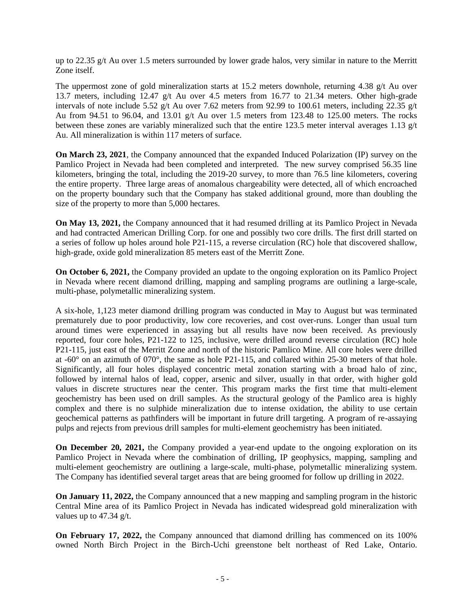up to 22.35 g/t Au over 1.5 meters surrounded by lower grade halos, very similar in nature to the Merritt Zone itself.

The uppermost zone of gold mineralization starts at 15.2 meters downhole, returning 4.38 g/t Au over 13.7 meters, including 12.47 g/t Au over 4.5 meters from 16.77 to 21.34 meters. Other high-grade intervals of note include 5.52 g/t Au over 7.62 meters from 92.99 to 100.61 meters, including 22.35 g/t Au from 94.51 to 96.04, and 13.01 g/t Au over 1.5 meters from 123.48 to 125.00 meters. The rocks between these zones are variably mineralized such that the entire 123.5 meter interval averages 1.13 g/t Au. All mineralization is within 117 meters of surface.

**On March 23, 2021**, the Company announced that the expanded Induced Polarization (IP) survey on the Pamlico Project in Nevada had been completed and interpreted. The new survey comprised 56.35 line kilometers, bringing the total, including the 2019-20 survey, to more than 76.5 line kilometers, covering the entire property. Three large areas of anomalous chargeability were detected, all of which encroached on the property boundary such that the Company has staked additional ground, more than doubling the size of the property to more than 5,000 hectares.

**On May 13, 2021,** the Company announced that it had resumed drilling at its Pamlico Project in Nevada and had contracted American Drilling Corp. for one and possibly two core drills. The first drill started on a series of follow up holes around hole P21-115, a reverse circulation (RC) hole that discovered shallow, high-grade, oxide gold mineralization 85 meters east of the Merritt Zone.

**On October 6, 2021,** the Company provided an update to the ongoing exploration on its Pamlico Project in Nevada where recent diamond drilling, mapping and sampling programs are outlining a large-scale, multi-phase, polymetallic mineralizing system.

A six-hole, 1,123 meter diamond drilling program was conducted in May to August but was terminated prematurely due to poor productivity, low core recoveries, and cost over-runs. Longer than usual turn around times were experienced in assaying but all results have now been received. As previously reported, four core holes, P21-122 to 125, inclusive, were drilled around reverse circulation (RC) hole P21-115, just east of the Merritt Zone and north of the historic Pamlico Mine. All core holes were drilled at -60° on an azimuth of 070°, the same as hole P21-115, and collared within 25-30 meters of that hole. Significantly, all four holes displayed concentric metal zonation starting with a broad halo of zinc, followed by internal halos of lead, copper, arsenic and silver, usually in that order, with higher gold values in discrete structures near the center. This program marks the first time that multi-element geochemistry has been used on drill samples. As the structural geology of the Pamlico area is highly complex and there is no sulphide mineralization due to intense oxidation, the ability to use certain geochemical patterns as pathfinders will be important in future drill targeting. A program of re-assaying pulps and rejects from previous drill samples for multi-element geochemistry has been initiated.

**On December 20, 2021,** the Company provided a year-end update to the ongoing exploration on its Pamlico Project in Nevada where the combination of drilling, IP geophysics, mapping, sampling and multi-element geochemistry are outlining a large-scale, multi-phase, polymetallic mineralizing system. The Company has identified several target areas that are being groomed for follow up drilling in 2022.

**On January 11, 2022,** the Company announced that a new mapping and sampling program in the historic Central Mine area of its Pamlico Project in Nevada has indicated widespread gold mineralization with values up to 47.34 g/t.

**On February 17, 2022,** the Company announced that diamond drilling has commenced on its 100% owned North Birch Project in the Birch-Uchi greenstone belt northeast of Red Lake, Ontario.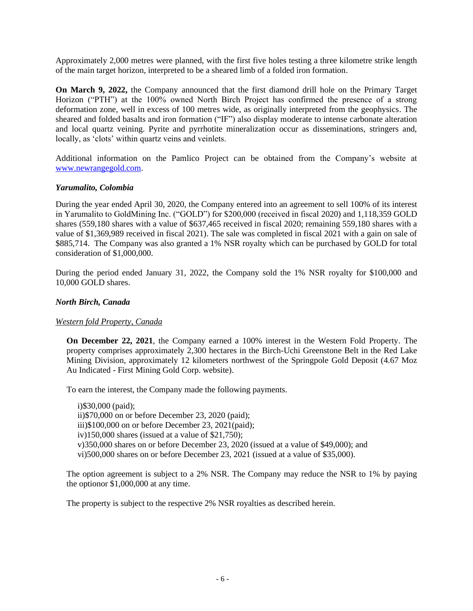Approximately 2,000 metres were planned, with the first five holes testing a three kilometre strike length of the main target horizon, interpreted to be a sheared limb of a folded iron formation.

**On March 9, 2022,** the Company announced that the first diamond drill hole on the Primary Target Horizon ("PTH") at the 100% owned North Birch Project has confirmed the presence of a strong deformation zone, well in excess of 100 metres wide, as originally interpreted from the geophysics. The sheared and folded basalts and iron formation ("IF") also display moderate to intense carbonate alteration and local quartz veining. Pyrite and pyrrhotite mineralization occur as disseminations, stringers and, locally, as 'clots' within quartz veins and veinlets.

Additional information on the Pamlico Project can be obtained from the Company's website at [www.newrangegold.com.](http://www.newrangegold.com/)

### *Yarumalito, Colombia*

During the year ended April 30, 2020, the Company entered into an agreement to sell 100% of its interest in Yarumalito to GoldMining Inc. ("GOLD") for \$200,000 (received in fiscal 2020) and 1,118,359 GOLD shares (559,180 shares with a value of \$637,465 received in fiscal 2020; remaining 559,180 shares with a value of \$1,369,989 received in fiscal 2021). The sale was completed in fiscal 2021 with a gain on sale of \$885,714. The Company was also granted a 1% NSR royalty which can be purchased by GOLD for total consideration of \$1,000,000.

During the period ended January 31, 2022, the Company sold the 1% NSR royalty for \$100,000 and 10,000 GOLD shares.

### *North Birch, Canada*

## *Western fold Property, Canada*

**On December 22, 2021**, the Company earned a 100% interest in the Western Fold Property. The property comprises approximately 2,300 hectares in the Birch-Uchi Greenstone Belt in the Red Lake Mining Division, approximately 12 kilometers northwest of the Springpole Gold Deposit (4.67 Moz Au Indicated - First Mining Gold Corp. website).

To earn the interest, the Company made the following payments.

i)\$30,000 (paid); ii)\$70,000 on or before December 23, 2020 (paid); iii)\$100,000 on or before December 23, 2021(paid); iv)150,000 shares (issued at a value of \$21,750); v)350,000 shares on or before December 23, 2020 (issued at a value of \$49,000); and vi)500,000 shares on or before December 23, 2021 (issued at a value of \$35,000).

The option agreement is subject to a 2% NSR. The Company may reduce the NSR to 1% by paying the optionor \$1,000,000 at any time.

The property is subject to the respective 2% NSR royalties as described herein.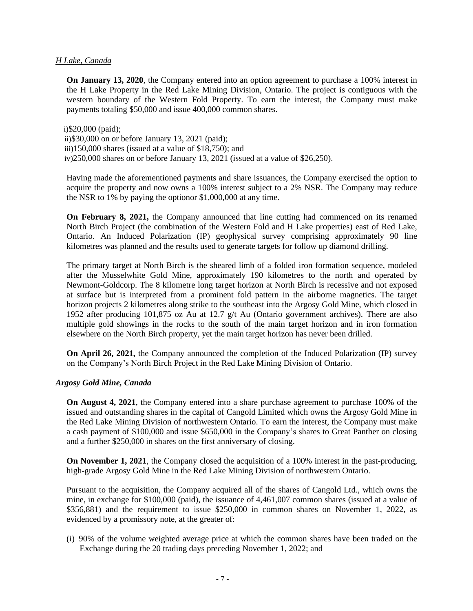### *H Lake, Canada*

**On January 13, 2020**, the Company entered into an option agreement to purchase a 100% interest in the H Lake Property in the Red Lake Mining Division, Ontario. The project is contiguous with the western boundary of the Western Fold Property. To earn the interest, the Company must make payments totaling \$50,000 and issue 400,000 common shares.

i)\$20,000 (paid); ii)\$30,000 on or before January 13, 2021 (paid); iii)150,000 shares (issued at a value of \$18,750); and iv)250,000 shares on or before January 13, 2021 (issued at a value of \$26,250).

Having made the aforementioned payments and share issuances, the Company exercised the option to acquire the property and now owns a 100% interest subject to a 2% NSR. The Company may reduce the NSR to 1% by paying the optionor \$1,000,000 at any time.

**On February 8, 2021,** the Company announced that line cutting had commenced on its renamed North Birch Project (the combination of the Western Fold and H Lake properties) east of Red Lake, Ontario. An Induced Polarization (IP) geophysical survey comprising approximately 90 line kilometres was planned and the results used to generate targets for follow up diamond drilling.

The primary target at North Birch is the sheared limb of a folded iron formation sequence, modeled after the Musselwhite Gold Mine, approximately 190 kilometres to the north and operated by Newmont-Goldcorp. The 8 kilometre long target horizon at North Birch is recessive and not exposed at surface but is interpreted from a prominent fold pattern in the airborne magnetics. The target horizon projects 2 kilometres along strike to the southeast into the Argosy Gold Mine, which closed in 1952 after producing 101,875 oz Au at 12.7 g/t Au (Ontario government archives). There are also multiple gold showings in the rocks to the south of the main target horizon and in iron formation elsewhere on the North Birch property, yet the main target horizon has never been drilled.

**On April 26, 2021,** the Company announced the completion of the Induced Polarization (IP) survey on the Company's North Birch Project in the Red Lake Mining Division of Ontario.

## *Argosy Gold Mine, Canada*

**On August 4, 2021**, the Company entered into a share purchase agreement to purchase 100% of the issued and outstanding shares in the capital of Cangold Limited which owns the Argosy Gold Mine in the Red Lake Mining Division of northwestern Ontario. To earn the interest, the Company must make a cash payment of \$100,000 and issue \$650,000 in the Company's shares to Great Panther on closing and a further \$250,000 in shares on the first anniversary of closing.

**On November 1, 2021**, the Company closed the acquisition of a 100% interest in the past-producing, high-grade Argosy Gold Mine in the Red Lake Mining Division of northwestern Ontario.

Pursuant to the acquisition, the Company acquired all of the shares of Cangold Ltd., which owns the mine, in exchange for \$100,000 (paid), the issuance of 4,461,007 common shares (issued at a value of \$356,881) and the requirement to issue \$250,000 in common shares on November 1, 2022, as evidenced by a promissory note, at the greater of:

(i) 90% of the volume weighted average price at which the common shares have been traded on the Exchange during the 20 trading days preceding November 1, 2022; and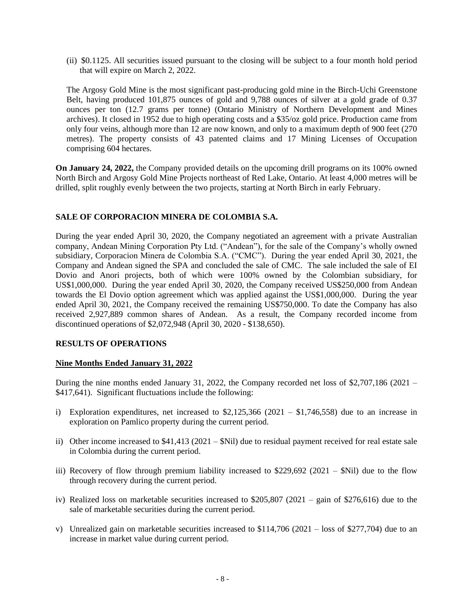(ii) \$0.1125. All securities issued pursuant to the closing will be subject to a four month hold period that will expire on March 2, 2022.

The Argosy Gold Mine is the most significant past-producing gold mine in the Birch-Uchi Greenstone Belt, having produced 101,875 ounces of gold and 9,788 ounces of silver at a gold grade of 0.37 ounces per ton (12.7 grams per tonne) (Ontario Ministry of Northern Development and Mines archives). It closed in 1952 due to high operating costs and a \$35/oz gold price. Production came from only four veins, although more than 12 are now known, and only to a maximum depth of 900 feet (270 metres). The property consists of 43 patented claims and 17 Mining Licenses of Occupation comprising 604 hectares.

**On January 24, 2022,** the Company provided details on the upcoming drill programs on its 100% owned North Birch and Argosy Gold Mine Projects northeast of Red Lake, Ontario. At least 4,000 metres will be drilled, split roughly evenly between the two projects, starting at North Birch in early February.

## **SALE OF CORPORACION MINERA DE COLOMBIA S.A.**

During the year ended April 30, 2020, the Company negotiated an agreement with a private Australian company, Andean Mining Corporation Pty Ltd. ("Andean"), for the sale of the Company's wholly owned subsidiary, Corporacion Minera de Colombia S.A. ("CMC"). During the year ended April 30, 2021, the Company and Andean signed the SPA and concluded the sale of CMC. The sale included the sale of EI Dovio and Anori projects, both of which were 100% owned by the Colombian subsidiary, for US\$1,000,000. During the year ended April 30, 2020, the Company received US\$250,000 from Andean towards the El Dovio option agreement which was applied against the US\$1,000,000. During the year ended April 30, 2021, the Company received the remaining US\$750,000. To date the Company has also received 2,927,889 common shares of Andean. As a result, the Company recorded income from discontinued operations of \$2,072,948 (April 30, 2020 - \$138,650).

## **RESULTS OF OPERATIONS**

## **Nine Months Ended January 31, 2022**

During the nine months ended January 31, 2022, the Company recorded net loss of \$2,707,186 (2021 – \$417,641). Significant fluctuations include the following:

- i) Exploration expenditures, net increased to  $$2,125,366$  ( $2021 $1,746,558$ ) due to an increase in exploration on Pamlico property during the current period.
- ii) Other income increased to \$41,413 (2021 \$Nil) due to residual payment received for real estate sale in Colombia during the current period.
- iii) Recovery of flow through premium liability increased to  $$229,692 (2021 $Nil)$  due to the flow through recovery during the current period.
- iv) Realized loss on marketable securities increased to \$205,807 (2021 gain of \$276,616) due to the sale of marketable securities during the current period.
- v) Unrealized gain on marketable securities increased to  $$114,706 (2021 loss of $277,704)$  due to an increase in market value during current period.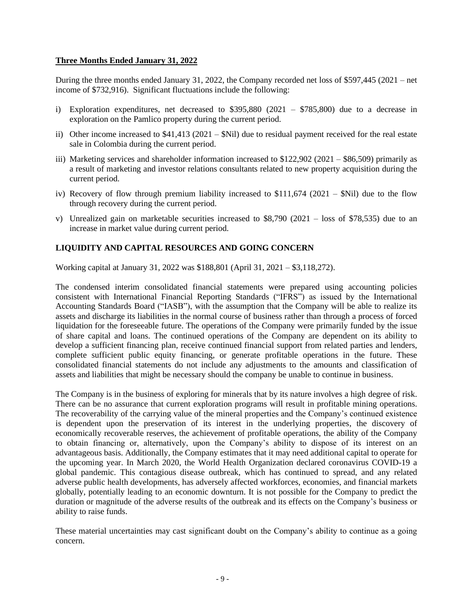## **Three Months Ended January 31, 2022**

During the three months ended January 31, 2022, the Company recorded net loss of \$597,445 (2021 – net income of \$732,916). Significant fluctuations include the following:

- i) Exploration expenditures, net decreased to  $$395,880$  (2021  $$785,800$ ) due to a decrease in exploration on the Pamlico property during the current period.
- ii) Other income increased to  $$41,413$  (2021  $$Nil)$  due to residual payment received for the real estate sale in Colombia during the current period.
- iii) Marketing services and shareholder information increased to \$122,902 (2021 \$86,509) primarily as a result of marketing and investor relations consultants related to new property acquisition during the current period.
- iv) Recovery of flow through premium liability increased to  $$111,674$  (2021  $$Nil$ ) due to the flow through recovery during the current period.
- v) Unrealized gain on marketable securities increased to  $$8,790$  (2021 loss of \$78,535) due to an increase in market value during current period.

## **LIQUIDITY AND CAPITAL RESOURCES AND GOING CONCERN**

Working capital at January 31, 2022 was \$188,801 (April 31, 2021 – \$3,118,272).

The condensed interim consolidated financial statements were prepared using accounting policies consistent with International Financial Reporting Standards ("IFRS") as issued by the International Accounting Standards Board ("IASB"), with the assumption that the Company will be able to realize its assets and discharge its liabilities in the normal course of business rather than through a process of forced liquidation for the foreseeable future. The operations of the Company were primarily funded by the issue of share capital and loans. The continued operations of the Company are dependent on its ability to develop a sufficient financing plan, receive continued financial support from related parties and lenders, complete sufficient public equity financing, or generate profitable operations in the future. These consolidated financial statements do not include any adjustments to the amounts and classification of assets and liabilities that might be necessary should the company be unable to continue in business.

The Company is in the business of exploring for minerals that by its nature involves a high degree of risk. There can be no assurance that current exploration programs will result in profitable mining operations. The recoverability of the carrying value of the mineral properties and the Company's continued existence is dependent upon the preservation of its interest in the underlying properties, the discovery of economically recoverable reserves, the achievement of profitable operations, the ability of the Company to obtain financing or, alternatively, upon the Company's ability to dispose of its interest on an advantageous basis. Additionally, the Company estimates that it may need additional capital to operate for the upcoming year. In March 2020, the World Health Organization declared coronavirus COVID-19 a global pandemic. This contagious disease outbreak, which has continued to spread, and any related adverse public health developments, has adversely affected workforces, economies, and financial markets globally, potentially leading to an economic downturn. It is not possible for the Company to predict the duration or magnitude of the adverse results of the outbreak and its effects on the Company's business or ability to raise funds.

These material uncertainties may cast significant doubt on the Company's ability to continue as a going concern.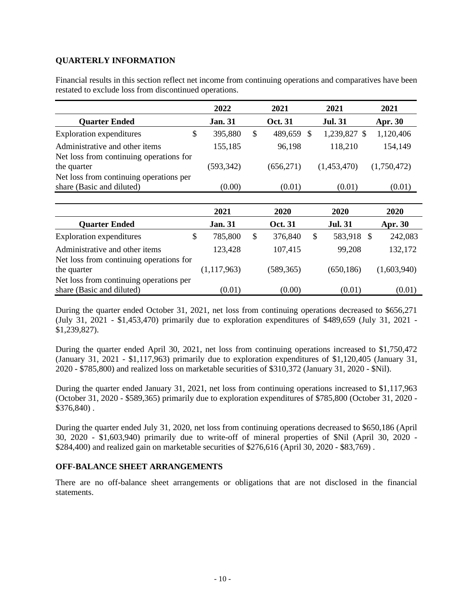## **QUARTERLY INFORMATION**

Financial results in this section reflect net income from continuing operations and comparatives have been restated to exclude loss from discontinued operations.

|                                                                                                   | 2022           |               | 2021           | 2021             | 2021           |
|---------------------------------------------------------------------------------------------------|----------------|---------------|----------------|------------------|----------------|
| <b>Quarter Ended</b>                                                                              | <b>Jan. 31</b> |               | <b>Oct. 31</b> | <b>Jul. 31</b>   | <b>Apr. 30</b> |
| \$<br><b>Exploration expenditures</b>                                                             | 395,880        | $\mathcal{S}$ | 489,659 \$     | 1,239,827 \$     | 1,120,406      |
| Administrative and other items                                                                    | 155,185        |               | 96,198         | 118,210          | 154,149        |
| Net loss from continuing operations for<br>the quarter<br>Net loss from continuing operations per | (593, 342)     |               | (656, 271)     | (1,453,470)      | (1,750,472)    |
| share (Basic and diluted)                                                                         | (0.00)         |               | (0.01)         | (0.01)           | (0.01)         |
|                                                                                                   |                |               |                |                  |                |
|                                                                                                   | 2021           |               | 2020           | 2020             | 2020           |
| <b>Quarter Ended</b>                                                                              | <b>Jan. 31</b> |               | <b>Oct. 31</b> | <b>Jul. 31</b>   | Apr. 30        |
| \$<br><b>Exploration expenditures</b>                                                             | 785,800        | \$            | 376,840        | \$<br>583,918 \$ | 242,083        |
| Administrative and other items                                                                    | 123,428        |               | 107,415        | 99,208           | 132,172        |
| Net loss from continuing operations for                                                           |                |               |                |                  |                |
| the quarter                                                                                       | (1,117,963)    |               | (589, 365)     | (650, 186)       | (1,603,940)    |
| Net loss from continuing operations per                                                           |                |               |                |                  |                |
| share (Basic and diluted)                                                                         | (0.01)         |               | (0.00)         | (0.01)           | (0.01)         |

During the quarter ended October 31, 2021, net loss from continuing operations decreased to \$656,271 (July 31, 2021 - \$1,453,470) primarily due to exploration expenditures of \$489,659 (July 31, 2021 - \$1,239,827).

During the quarter ended April 30, 2021, net loss from continuing operations increased to \$1,750,472 (January 31, 2021 - \$1,117,963) primarily due to exploration expenditures of \$1,120,405 (January 31, 2020 - \$785,800) and realized loss on marketable securities of \$310,372 (January 31, 2020 - \$Nil).

During the quarter ended January 31, 2021, net loss from continuing operations increased to \$1,117,963 (October 31, 2020 - \$589,365) primarily due to exploration expenditures of \$785,800 (October 31, 2020 - \$376,840) .

During the quarter ended July 31, 2020, net loss from continuing operations decreased to \$650,186 (April 30, 2020 - \$1,603,940) primarily due to write-off of mineral properties of \$Nil (April 30, 2020 - \$284,400) and realized gain on marketable securities of \$276,616 (April 30, 2020 - \$83,769) .

# **OFF-BALANCE SHEET ARRANGEMENTS**

There are no off-balance sheet arrangements or obligations that are not disclosed in the financial statements.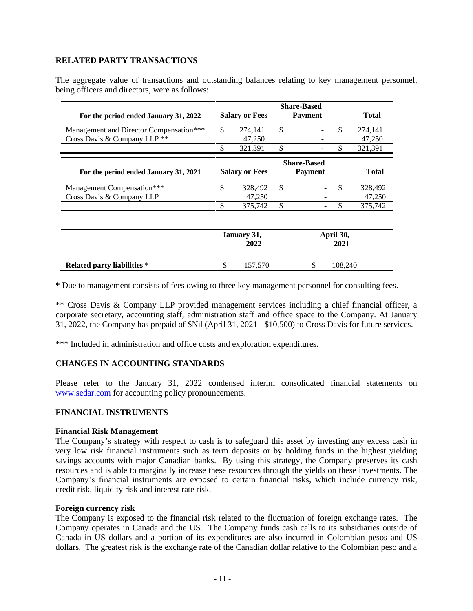## **RELATED PARTY TRANSACTIONS**

The aggregate value of transactions and outstanding balances relating to key management personnel, being officers and directors, were as follows:

|                                         | <b>Share-Based</b>    |                       |                   |                    |         |              |  |  |
|-----------------------------------------|-----------------------|-----------------------|-------------------|--------------------|---------|--------------|--|--|
| For the period ended January 31, 2022   |                       | <b>Salary or Fees</b> |                   | <b>Payment</b>     |         | <b>Total</b> |  |  |
| Management and Director Compensation*** | \$                    | 274,141               | \$                |                    | \$      | 274,141      |  |  |
| Cross Davis & Company LLP <sup>**</sup> |                       | 47,250                |                   |                    |         | 47,250       |  |  |
|                                         | \$                    | 321,391               | \$                |                    | \$      | 321,391      |  |  |
|                                         |                       |                       |                   | <b>Share-Based</b> |         |              |  |  |
| For the period ended January 31, 2021   | <b>Salary or Fees</b> |                       | <b>Payment</b>    |                    |         | <b>Total</b> |  |  |
| Management Compensation***              | \$                    | 328,492               | $\mathcal{S}$     |                    | \$      | 328,492      |  |  |
| Cross Davis & Company LLP               |                       | 47,250                |                   |                    |         | 47,250       |  |  |
|                                         | \$                    | 375,742               | \$                |                    | \$      | 375,742      |  |  |
|                                         | January 31,<br>2022   |                       | April 30,<br>2021 |                    |         |              |  |  |
|                                         |                       |                       |                   |                    |         |              |  |  |
| <b>Related party liabilities</b> *      | \$                    | 157,570               |                   | S                  | 108,240 |              |  |  |

\* Due to management consists of fees owing to three key management personnel for consulting fees.

\*\* Cross Davis & Company LLP provided management services including a chief financial officer, a corporate secretary, accounting staff, administration staff and office space to the Company. At January 31, 2022, the Company has prepaid of \$Nil (April 31, 2021 - \$10,500) to Cross Davis for future services.

\*\*\* Included in administration and office costs and exploration expenditures.

## **CHANGES IN ACCOUNTING STANDARDS**

Please refer to the January 31, 2022 condensed interim consolidated financial statements on [www.sedar.com](http://www.sedar.com/) for accounting policy pronouncements.

### **FINANCIAL INSTRUMENTS**

### **Financial Risk Management**

The Company's strategy with respect to cash is to safeguard this asset by investing any excess cash in very low risk financial instruments such as term deposits or by holding funds in the highest yielding savings accounts with major Canadian banks. By using this strategy, the Company preserves its cash resources and is able to marginally increase these resources through the yields on these investments. The Company's financial instruments are exposed to certain financial risks, which include currency risk, credit risk, liquidity risk and interest rate risk.

### **Foreign currency risk**

The Company is exposed to the financial risk related to the fluctuation of foreign exchange rates. The Company operates in Canada and the US. The Company funds cash calls to its subsidiaries outside of Canada in US dollars and a portion of its expenditures are also incurred in Colombian pesos and US dollars. The greatest risk is the exchange rate of the Canadian dollar relative to the Colombian peso and a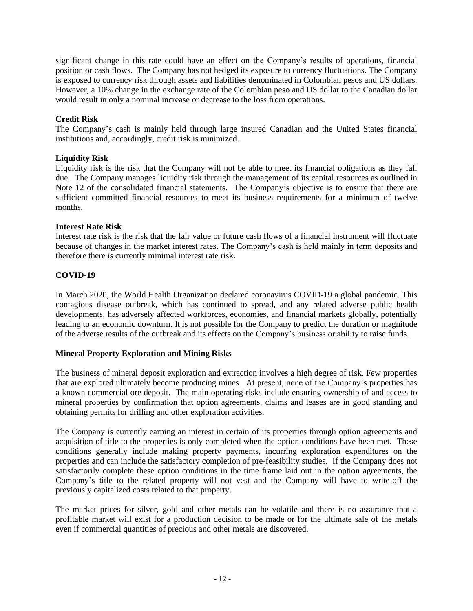significant change in this rate could have an effect on the Company's results of operations, financial position or cash flows. The Company has not hedged its exposure to currency fluctuations. The Company is exposed to currency risk through assets and liabilities denominated in Colombian pesos and US dollars. However, a 10% change in the exchange rate of the Colombian peso and US dollar to the Canadian dollar would result in only a nominal increase or decrease to the loss from operations.

# **Credit Risk**

The Company's cash is mainly held through large insured Canadian and the United States financial institutions and, accordingly, credit risk is minimized.

## **Liquidity Risk**

Liquidity risk is the risk that the Company will not be able to meet its financial obligations as they fall due. The Company manages liquidity risk through the management of its capital resources as outlined in Note 12 of the consolidated financial statements. The Company's objective is to ensure that there are sufficient committed financial resources to meet its business requirements for a minimum of twelve months.

## **Interest Rate Risk**

Interest rate risk is the risk that the fair value or future cash flows of a financial instrument will fluctuate because of changes in the market interest rates. The Company's cash is held mainly in term deposits and therefore there is currently minimal interest rate risk.

# **COVID-19**

In March 2020, the World Health Organization declared coronavirus COVID-19 a global pandemic. This contagious disease outbreak, which has continued to spread, and any related adverse public health developments, has adversely affected workforces, economies, and financial markets globally, potentially leading to an economic downturn. It is not possible for the Company to predict the duration or magnitude of the adverse results of the outbreak and its effects on the Company's business or ability to raise funds.

## **Mineral Property Exploration and Mining Risks**

The business of mineral deposit exploration and extraction involves a high degree of risk. Few properties that are explored ultimately become producing mines. At present, none of the Company's properties has a known commercial ore deposit. The main operating risks include ensuring ownership of and access to mineral properties by confirmation that option agreements, claims and leases are in good standing and obtaining permits for drilling and other exploration activities.

The Company is currently earning an interest in certain of its properties through option agreements and acquisition of title to the properties is only completed when the option conditions have been met. These conditions generally include making property payments, incurring exploration expenditures on the properties and can include the satisfactory completion of pre-feasibility studies. If the Company does not satisfactorily complete these option conditions in the time frame laid out in the option agreements, the Company's title to the related property will not vest and the Company will have to write-off the previously capitalized costs related to that property.

The market prices for silver, gold and other metals can be volatile and there is no assurance that a profitable market will exist for a production decision to be made or for the ultimate sale of the metals even if commercial quantities of precious and other metals are discovered.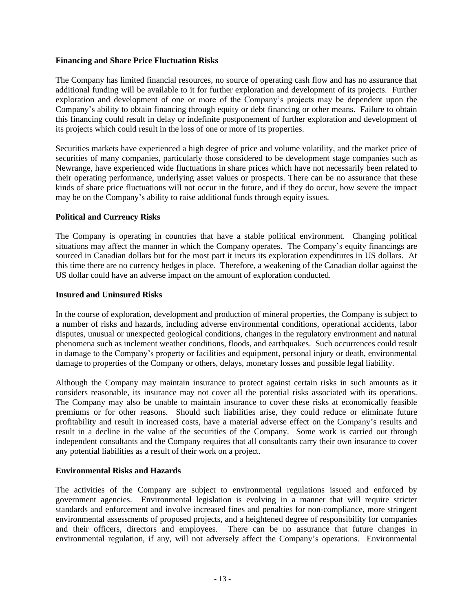## **Financing and Share Price Fluctuation Risks**

The Company has limited financial resources, no source of operating cash flow and has no assurance that additional funding will be available to it for further exploration and development of its projects. Further exploration and development of one or more of the Company's projects may be dependent upon the Company's ability to obtain financing through equity or debt financing or other means. Failure to obtain this financing could result in delay or indefinite postponement of further exploration and development of its projects which could result in the loss of one or more of its properties.

Securities markets have experienced a high degree of price and volume volatility, and the market price of securities of many companies, particularly those considered to be development stage companies such as Newrange, have experienced wide fluctuations in share prices which have not necessarily been related to their operating performance, underlying asset values or prospects. There can be no assurance that these kinds of share price fluctuations will not occur in the future, and if they do occur, how severe the impact may be on the Company's ability to raise additional funds through equity issues.

## **Political and Currency Risks**

The Company is operating in countries that have a stable political environment. Changing political situations may affect the manner in which the Company operates. The Company's equity financings are sourced in Canadian dollars but for the most part it incurs its exploration expenditures in US dollars. At this time there are no currency hedges in place. Therefore, a weakening of the Canadian dollar against the US dollar could have an adverse impact on the amount of exploration conducted.

### **Insured and Uninsured Risks**

In the course of exploration, development and production of mineral properties, the Company is subject to a number of risks and hazards, including adverse environmental conditions, operational accidents, labor disputes, unusual or unexpected geological conditions, changes in the regulatory environment and natural phenomena such as inclement weather conditions, floods, and earthquakes. Such occurrences could result in damage to the Company's property or facilities and equipment, personal injury or death, environmental damage to properties of the Company or others, delays, monetary losses and possible legal liability.

Although the Company may maintain insurance to protect against certain risks in such amounts as it considers reasonable, its insurance may not cover all the potential risks associated with its operations. The Company may also be unable to maintain insurance to cover these risks at economically feasible premiums or for other reasons. Should such liabilities arise, they could reduce or eliminate future profitability and result in increased costs, have a material adverse effect on the Company's results and result in a decline in the value of the securities of the Company. Some work is carried out through independent consultants and the Company requires that all consultants carry their own insurance to cover any potential liabilities as a result of their work on a project.

## **Environmental Risks and Hazards**

The activities of the Company are subject to environmental regulations issued and enforced by government agencies. Environmental legislation is evolving in a manner that will require stricter standards and enforcement and involve increased fines and penalties for non-compliance, more stringent environmental assessments of proposed projects, and a heightened degree of responsibility for companies and their officers, directors and employees. There can be no assurance that future changes in environmental regulation, if any, will not adversely affect the Company's operations. Environmental